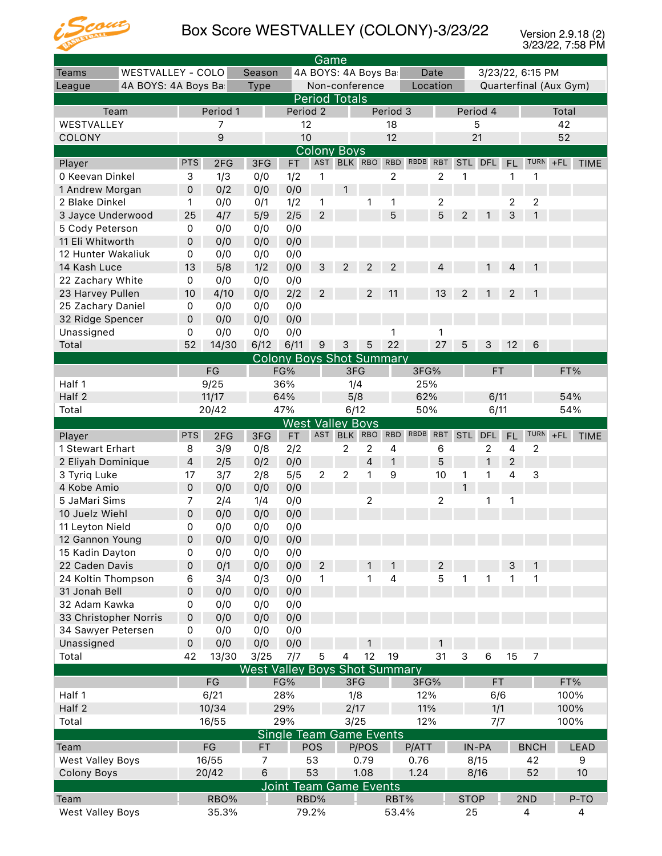

## Box Score WESTVALLEY (COLONY)-3/23/22

| Game                          |                     |          |                                      |                                 |                         |                    |                |                         |       |                         |             |            |                  |                        |       |             |  |
|-------------------------------|---------------------|----------|--------------------------------------|---------------------------------|-------------------------|--------------------|----------------|-------------------------|-------|-------------------------|-------------|------------|------------------|------------------------|-------|-------------|--|
| Teams                         | WESTVALLEY - COLO   |          |                                      | 4A BOYS: 4A Boys Ba:<br>Season  |                         |                    |                |                         | Date  |                         |             |            | 3/23/22, 6:15 PM |                        |       |             |  |
| 4A BOYS: 4A Boys Ba<br>League |                     |          | Non-conference<br><b>Type</b>        |                                 |                         |                    |                |                         |       | Location                |             |            |                  | Quarterfinal (Aux Gym) |       |             |  |
|                               |                     |          |                                      |                                 | <b>Period Totals</b>    |                    |                |                         |       |                         |             |            |                  |                        |       |             |  |
| Team                          |                     | Period 1 |                                      | Period 2                        |                         |                    |                | Period 3                |       |                         |             | Period 4   |                  |                        | Total |             |  |
| WESTVALLEY                    | 7                   |          |                                      | 12                              |                         |                    | 18             |                         | 5     |                         |             |            | 42               |                        |       |             |  |
| COLONY                        | $\mathsf 9$         |          |                                      | 10                              |                         |                    | 12             |                         | 21    |                         |             |            | 52               |                        |       |             |  |
|                               |                     |          |                                      |                                 | <b>Colony Boys</b>      |                    |                |                         |       |                         |             |            |                  |                        |       |             |  |
| Player                        | <b>PTS</b>          | 2FG      | 3FG                                  | FT                              | AST                     | BLK RBO            |                | <b>RBD</b>              | RBDB  | <b>RBT</b>              |             | STL DFL    | <b>FL</b>        | <b>TURN</b>            | $+FL$ | <b>TIME</b> |  |
| 0 Keevan Dinkel               | 3                   | 1/3      | 0/0                                  | 1/2                             | 1                       |                    |                | $\overline{\mathbf{c}}$ |       | 2                       | 1           |            | 1                | 1                      |       |             |  |
| 1 Andrew Morgan               | $\mathsf{O}\xspace$ | 0/2      | 0/0                                  | 0/0                             |                         |                    |                |                         |       |                         |             |            |                  |                        |       |             |  |
| 2 Blake Dinkel                | 1                   | 0/0      | 0/1                                  | 1/2                             | 1                       |                    | 1              | 1                       |       | 2                       |             |            | $\overline{c}$   | 2                      |       |             |  |
| 3 Jayce Underwood             | 25                  | 4/7      | 5/9                                  | 2/5                             | $\overline{c}$          |                    |                | 5                       |       | 5                       | 2           | 1          | 3                | 1                      |       |             |  |
|                               | $\mathsf{O}\xspace$ |          | 0/0                                  |                                 |                         |                    |                |                         |       |                         |             |            |                  |                        |       |             |  |
| 5 Cody Peterson               |                     | 0/0      |                                      | 0/0                             |                         |                    |                |                         |       |                         |             |            |                  |                        |       |             |  |
| 11 Eli Whitworth              | $\mathsf{O}\xspace$ | 0/0      | 0/0                                  | 0/0                             |                         |                    |                |                         |       |                         |             |            |                  |                        |       |             |  |
| 12 Hunter Wakaliuk            | $\mathsf{O}\xspace$ | 0/0      | 0/0                                  | 0/0                             |                         |                    |                |                         |       |                         |             |            |                  |                        |       |             |  |
| 14 Kash Luce                  | 13                  | 5/8      | 1/2                                  | 0/0                             | $\mathbf{3}$            | 2                  | 2              | 2                       |       | 4                       |             |            | 4                |                        |       |             |  |
| 22 Zachary White              | $\mathsf{O}\xspace$ | 0/0      | 0/0                                  | 0/0                             |                         |                    |                |                         |       |                         |             |            |                  |                        |       |             |  |
| 23 Harvey Pullen              | 10                  | 4/10     | 0/0                                  | 2/2                             | 2                       |                    | $\overline{2}$ | 11                      |       | 13                      | 2           |            | 2                |                        |       |             |  |
| 25 Zachary Daniel             | $\mathsf{O}\xspace$ | 0/0      | 0/0                                  | 0/0                             |                         |                    |                |                         |       |                         |             |            |                  |                        |       |             |  |
| 32 Ridge Spencer              | $\mathsf{O}\xspace$ | 0/0      | 0/0                                  | 0/0                             |                         |                    |                |                         |       |                         |             |            |                  |                        |       |             |  |
| Unassigned                    | $\mathsf{O}\xspace$ | 0/0      | 0/0                                  | 0/0                             |                         |                    |                | 1                       |       | 1                       |             |            |                  |                        |       |             |  |
| Total                         | 52                  | 14/30    | 6/12                                 | 6/11                            | $\mathsf 9$             | 3                  | 5              | 22                      |       | 27                      | 5           | 3          | 12               | 6                      |       |             |  |
|                               |                     |          |                                      | <b>Colony Boys Shot Summary</b> |                         |                    |                |                         |       |                         |             |            |                  |                        |       |             |  |
|                               |                     | FG       |                                      | FG%                             |                         | 3FG                |                |                         | 3FG%  |                         |             | FT         |                  |                        | FT%   |             |  |
| Half 1                        |                     | 9/25     |                                      | 36%                             |                         | 1/4                |                |                         | 25%   |                         |             |            |                  |                        |       |             |  |
| Half 2                        | 11/17               |          | 64%                                  |                                 |                         | 5/8                |                |                         | 62%   |                         | 6/11        |            | 54%              |                        |       |             |  |
| Total                         | 20/42               |          | 47%                                  |                                 |                         | 6/12<br>50%        |                | 6/11                    |       |                         |             | 54%        |                  |                        |       |             |  |
|                               |                     |          |                                      | West                            |                         | <b>Valley Boys</b> |                |                         |       |                         |             |            |                  |                        |       |             |  |
| Player                        | <b>PTS</b>          | 2FG      | 3FG                                  | FT                              | AST                     | <b>BLK</b>         | <b>RBO</b>     | <b>RBD</b>              | RBDB  | <b>RBT</b>              | <b>STL</b>  | DFL        | <b>FL</b>        | TURN                   | $+FL$ | <b>TIME</b> |  |
| 1 Stewart Erhart              | 8                   | 3/9      | 0/8                                  | 2/2                             |                         | $\mathbf{2}$       | $\sqrt{2}$     | 4                       |       | $\,6$                   |             | $\sqrt{2}$ | 4                | 2                      |       |             |  |
| 2 Eliyah Dominique            | $\sqrt{4}$          | 2/5      | 0/2                                  | 0/0                             |                         |                    | $\overline{4}$ | $\mathbf{1}$            |       | 5                       |             | 1          | $\overline{2}$   |                        |       |             |  |
| 3 Tyriq Luke                  | 17                  | 3/7      | 2/8                                  | 5/5                             | $\overline{c}$          | $\overline{c}$     | 1              | 9                       |       | 10                      | 1           | 1          | 4                | 3                      |       |             |  |
| 4 Kobe Amio                   | $\mathsf{O}\xspace$ | 0/0      | 0/0                                  | 0/0                             |                         |                    |                |                         |       |                         |             |            |                  |                        |       |             |  |
| 5 JaMari Sims                 | 7                   | 2/4      | 1/4                                  |                                 |                         |                    | $\overline{2}$ |                         |       | $\overline{\mathbf{c}}$ |             | 1          | 1                |                        |       |             |  |
|                               | $\mathsf{O}\xspace$ |          |                                      | 0/0                             |                         |                    |                |                         |       |                         |             |            |                  |                        |       |             |  |
| 10 Juelz Wiehl                |                     | 0/0      | 0/0                                  | 0/0                             |                         |                    |                |                         |       |                         |             |            |                  |                        |       |             |  |
| 11 Leyton Nield               | 0                   | 0/0      | 0/0                                  | 0/0                             |                         |                    |                |                         |       |                         |             |            |                  |                        |       |             |  |
| 12 Gannon Young               | $\mathsf{O}\xspace$ | 0/0      | 0/0                                  | O/O                             |                         |                    |                |                         |       |                         |             |            |                  |                        |       |             |  |
| 15 Kadin Dayton               | 0                   | 0/0      | 0/0                                  | 0/0                             |                         |                    |                |                         |       |                         |             |            |                  |                        |       |             |  |
| 22 Caden Davis                | $\mathsf{O}\xspace$ | 0/1      | 0/0                                  | 0/0                             | 2                       |                    |                |                         |       | 2                       |             |            | 3                |                        |       |             |  |
| 24 Koltin Thompson            | 6                   | 3/4      | 0/3                                  | 0/0                             | 1                       |                    | 1              | 4                       |       | 5                       |             | 1          | 1                |                        |       |             |  |
| 31 Jonah Bell                 | 0                   | 0/0      | 0/0                                  | 0/0                             |                         |                    |                |                         |       |                         |             |            |                  |                        |       |             |  |
| 32 Adam Kawka                 | 0                   | 0/0      | 0/0                                  | 0/0                             |                         |                    |                |                         |       |                         |             |            |                  |                        |       |             |  |
| 33 Christopher Norris         | $\mathsf{O}\xspace$ | 0/0      | 0/0                                  | 0/0                             |                         |                    |                |                         |       |                         |             |            |                  |                        |       |             |  |
| 34 Sawyer Petersen            | $\mathsf 0$         | 0/0      | 0/0                                  | 0/0                             |                         |                    |                |                         |       |                         |             |            |                  |                        |       |             |  |
| Unassigned                    | $\mathsf{O}\xspace$ | 0/0      | 0/0                                  | 0/0                             |                         |                    |                |                         |       |                         |             |            |                  |                        |       |             |  |
| Total                         | 42                  | 13/30    | 3/25                                 | 7/7                             | 5                       | 4                  | 12             | 19                      |       | 31                      | 3           | 6          | 15               | 7                      |       |             |  |
|                               |                     |          | <b>West Valley Boys Shot Summary</b> |                                 |                         |                    |                |                         |       |                         |             |            |                  |                        |       |             |  |
|                               |                     | FG       |                                      | FG%                             |                         | 3FG                |                |                         | 3FG%  |                         |             | FT         |                  |                        | FT%   |             |  |
| Half 1                        |                     | 6/21     |                                      | 28%                             |                         | 1/8                |                |                         | 12%   |                         |             | 6/6        |                  |                        | 100%  |             |  |
| Half 2                        |                     | 10/34    | 29%                                  |                                 |                         |                    |                | 11%                     |       |                         | 1/1         |            |                  |                        |       | 100%        |  |
| Total                         | 16/55               |          | 29%                                  |                                 |                         | 2/17<br>3/25       |                | 12%                     |       |                         | 7/7         |            |                  | 100%                   |       |             |  |
|                               |                     |          |                                      |                                 |                         |                    |                |                         |       |                         |             |            |                  |                        |       |             |  |
|                               |                     |          |                                      | <b>Single Team Game Events</b>  |                         |                    |                |                         |       |                         |             |            |                  |                        |       |             |  |
| Team                          |                     | FG       | FT                                   |                                 | POS                     |                    | P/POS          |                         | P/ATT |                         |             | IN-PA      |                  | <b>BNCH</b>            |       | <b>LEAD</b> |  |
| <b>West Valley Boys</b>       |                     | 16/55    | 7                                    |                                 | 53                      |                    | 0.79           |                         | 0.76  |                         |             | 8/15       |                  | 42                     |       | 9           |  |
| <b>Colony Boys</b>            |                     | 20/42    | $\,6$                                |                                 | 53                      |                    | 1.08           |                         | 1.24  |                         |             | 8/16       |                  | 52                     |       | 10          |  |
|                               |                     |          | Joint                                |                                 | <b>Team Game Events</b> |                    |                |                         |       |                         |             |            |                  |                        |       |             |  |
| Team                          |                     | RBO%     |                                      |                                 | RBD%                    |                    |                | RBT%                    |       |                         | <b>STOP</b> |            |                  | 2ND                    |       | P-TO        |  |
| <b>West Valley Boys</b>       |                     | 35.3%    |                                      |                                 | 79.2%                   |                    |                | 53.4%                   |       |                         | 25          |            |                  | $\overline{4}$         |       | 4           |  |